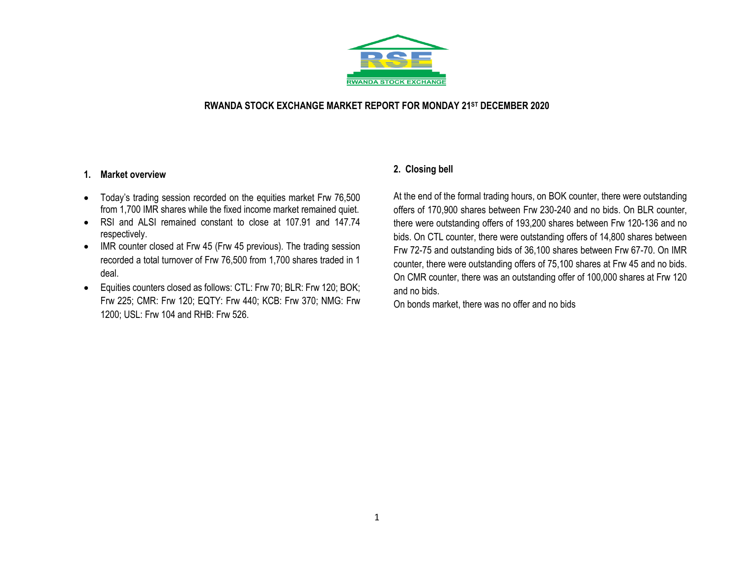

## **RWANDA STOCK EXCHANGE MARKET REPORT FOR MONDAY 21ST DECEMBER 2020**

## **1. Market overview**

- Today's trading session recorded on the equities market Frw 76,500 from 1,700 IMR shares while the fixed income market remained quiet.
- RSI and ALSI remained constant to close at 107.91 and 147.74 respectively.
- IMR counter closed at Frw 45 (Frw 45 previous). The trading session recorded a total turnover of Frw 76,500 from 1,700 shares traded in 1 deal.
- Equities counters closed as follows: CTL: Frw 70; BLR: Frw 120; BOK; Frw 225; CMR: Frw 120; EQTY: Frw 440; KCB: Frw 370; NMG: Frw 1200; USL: Frw 104 and RHB: Frw 526.

# **2. Closing bell**

At the end of the formal trading hours, on BOK counter, there were outstanding offers of 170,900 shares between Frw 230-240 and no bids. On BLR counter, there were outstanding offers of 193,200 shares between Frw 120-136 and no bids. On CTL counter, there were outstanding offers of 14,800 shares between Frw 72-75 and outstanding bids of 36,100 shares between Frw 67-70. On IMR counter, there were outstanding offers of 75,100 shares at Frw 45 and no bids. On CMR counter, there was an outstanding offer of 100,000 shares at Frw 120 and no bids.

On bonds market, there was no offer and no bids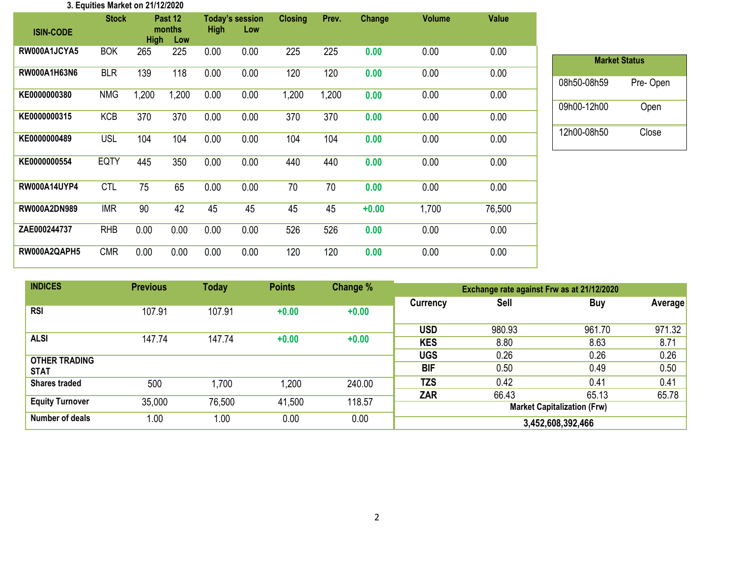| 3. Equities Market on 21/12/2020 |              |             |                          |             |                               |                |       |               |               |              |
|----------------------------------|--------------|-------------|--------------------------|-------------|-------------------------------|----------------|-------|---------------|---------------|--------------|
| <b>ISIN-CODE</b>                 | <b>Stock</b> | <b>High</b> | Past 12<br>months<br>Low | <b>High</b> | <b>Today's session</b><br>Low | <b>Closing</b> | Prev. | <b>Change</b> | <b>Volume</b> | <b>Value</b> |
| RW000A1JCYA5                     | <b>BOK</b>   | 265         | 225                      | 0.00        | 0.00                          | 225            | 225   | 0.00          | 0.00          | 0.00         |
| RW000A1H63N6                     | <b>BLR</b>   | 139         | 118                      | 0.00        | 0.00                          | 120            | 120   | 0.00          | 0.00          | 0.00         |
| KE0000000380                     | <b>NMG</b>   | 1,200       | 1,200                    | 0.00        | 0.00                          | 1,200          | 1,200 | 0.00          | 0.00          | 0.00         |
| KE0000000315                     | <b>KCB</b>   | 370         | 370                      | 0.00        | 0.00                          | 370            | 370   | 0.00          | 0.00          | 0.00         |
| KE0000000489                     | <b>USL</b>   | 104         | 104                      | 0.00        | 0.00                          | 104            | 104   | 0.00          | 0.00          | 0.00         |
| KE0000000554                     | <b>EQTY</b>  | 445         | 350                      | 0.00        | 0.00                          | 440            | 440   | 0.00          | 0.00          | 0.00         |
| <b>RW000A14UYP4</b>              | <b>CTL</b>   | 75          | 65                       | 0.00        | 0.00                          | 70             | 70    | 0.00          | 0.00          | 0.00         |
| <b>RW000A2DN989</b>              | <b>IMR</b>   | 90          | 42                       | 45          | 45                            | 45             | 45    | $+0.00$       | 1,700         | 76,500       |
| ZAE000244737                     | <b>RHB</b>   | 0.00        | 0.00                     | 0.00        | 0.00                          | 526            | 526   | 0.00          | 0.00          | 0.00         |
| RW000A2QAPH5                     | <b>CMR</b>   | 0.00        | 0.00                     | 0.00        | 0.00                          | 120            | 120   | 0.00          | 0.00          | 0.00         |

| <b>Market Status</b> |          |  |  |  |  |  |  |  |  |
|----------------------|----------|--|--|--|--|--|--|--|--|
| 08h50-08h59          | Pre-Open |  |  |  |  |  |  |  |  |
| 09h00-12h00          | Open     |  |  |  |  |  |  |  |  |
| 12h00-08h50          | Close    |  |  |  |  |  |  |  |  |

| <b>INDICES</b>         | <b>Previous</b> | <b>Today</b> | <b>Points</b> | Change % | Exchange rate against Frw as at 21/12/2020 |             |                                    |          |  |
|------------------------|-----------------|--------------|---------------|----------|--------------------------------------------|-------------|------------------------------------|----------|--|
|                        |                 |              |               |          | <b>Currency</b>                            | <b>Sell</b> | <b>Buy</b>                         | Averagel |  |
| <b>RSI</b>             | 107.91          | 107.91       | $+0.00$       | $+0.00$  |                                            |             |                                    |          |  |
|                        |                 |              |               |          | <b>USD</b>                                 | 980.93      | 961.70                             | 971.32   |  |
| <b>ALSI</b>            | 147.74          | 147.74       | $+0.00$       | $+0.00$  | <b>KES</b>                                 | 8.80        | 8.63                               | 8.71     |  |
| <b>OTHER TRADING</b>   |                 |              |               |          | <b>UGS</b>                                 | 0.26        | 0.26                               | 0.26     |  |
| <b>STAT</b>            |                 |              |               |          | <b>BIF</b>                                 | 0.50        | 0.49                               | 0.50     |  |
| <b>Shares traded</b>   | 500             | ,700         | .200          | 240.00   | <b>TZS</b>                                 | 0.42        | 0.41                               | 0.41     |  |
|                        |                 |              |               |          | <b>ZAR</b>                                 | 66.43       | 65.13                              | 65.78    |  |
| <b>Equity Turnover</b> | 35,000          | 76,500       | 41,500        | 118.57   |                                            |             | <b>Market Capitalization (Frw)</b> |          |  |
| Number of deals        | 0.00            | 1.00         | 0.00          | 0.00     | 3,452,608,392,466                          |             |                                    |          |  |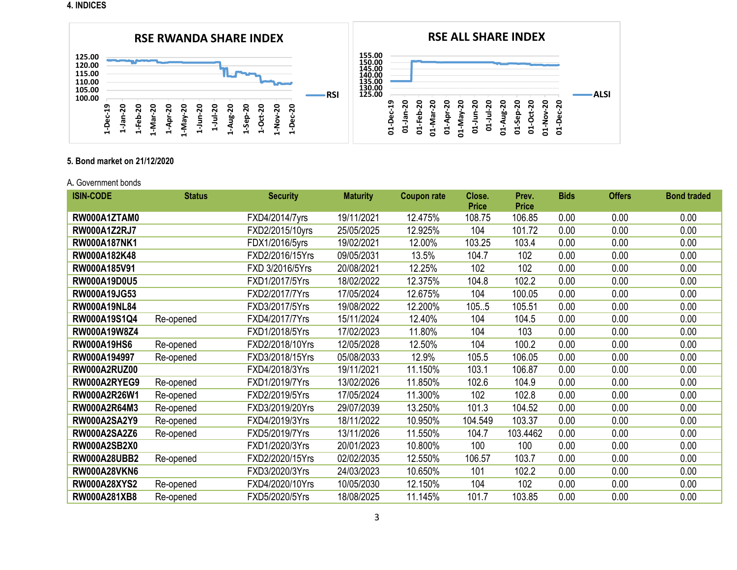**4. INDICES**



## **5. Bond market on 21/12/2020**

#### A**.** Government bonds

| <b>ISIN-CODE</b>    | <b>Status</b> | <b>Security</b> | <b>Maturity</b> | <b>Coupon rate</b> | Close.       | Prev.        | <b>Bids</b> | <b>Offers</b> | <b>Bond traded</b> |
|---------------------|---------------|-----------------|-----------------|--------------------|--------------|--------------|-------------|---------------|--------------------|
|                     |               |                 |                 |                    | <b>Price</b> | <b>Price</b> |             |               |                    |
| RW000A1ZTAM0        |               | FXD4/2014/7yrs  | 19/11/2021      | 12.475%            | 108.75       | 106.85       | 0.00        | 0.00          | 0.00               |
| <b>RW000A1Z2RJ7</b> |               | FXD2/2015/10yrs | 25/05/2025      | 12.925%            | 104          | 101.72       | 0.00        | 0.00          | 0.00               |
| RW000A187NK1        |               | FDX1/2016/5yrs  | 19/02/2021      | 12.00%             | 103.25       | 103.4        | 0.00        | 0.00          | 0.00               |
| RW000A182K48        |               | FXD2/2016/15Yrs | 09/05/2031      | 13.5%              | 104.7        | 102          | 0.00        | 0.00          | 0.00               |
| RW000A185V91        |               | FXD 3/2016/5Yrs | 20/08/2021      | 12.25%             | 102          | 102          | 0.00        | 0.00          | 0.00               |
| RW000A19D0U5        |               | FXD1/2017/5Yrs  | 18/02/2022      | 12.375%            | 104.8        | 102.2        | 0.00        | 0.00          | 0.00               |
| RW000A19JG53        |               | FXD2/2017/7Yrs  | 17/05/2024      | 12.675%            | 104          | 100.05       | 0.00        | 0.00          | 0.00               |
| <b>RW000A19NL84</b> |               | FXD3/2017/5Yrs  | 19/08/2022      | 12.200%            | 105.5        | 105.51       | 0.00        | 0.00          | 0.00               |
| RW000A19S1Q4        | Re-opened     | FXD4/2017/7Yrs  | 15/11/2024      | 12.40%             | 104          | 104.5        | 0.00        | 0.00          | 0.00               |
| RW000A19W8Z4        |               | FXD1/2018/5Yrs  | 17/02/2023      | 11.80%             | 104          | 103          | 0.00        | 0.00          | 0.00               |
| <b>RW000A19HS6</b>  | Re-opened     | FXD2/2018/10Yrs | 12/05/2028      | 12.50%             | 104          | 100.2        | 0.00        | 0.00          | 0.00               |
| RW000A194997        | Re-opened     | FXD3/2018/15Yrs | 05/08/2033      | 12.9%              | 105.5        | 106.05       | 0.00        | 0.00          | 0.00               |
| <b>RW000A2RUZ00</b> |               | FXD4/2018/3Yrs  | 19/11/2021      | 11.150%            | 103.1        | 106.87       | 0.00        | 0.00          | 0.00               |
| RW000A2RYEG9        | Re-opened     | FXD1/2019/7Yrs  | 13/02/2026      | 11.850%            | 102.6        | 104.9        | 0.00        | 0.00          | 0.00               |
| RW000A2R26W1        | Re-opened     | FXD2/2019/5Yrs  | 17/05/2024      | 11.300%            | 102          | 102.8        | 0.00        | 0.00          | 0.00               |
| RW000A2R64M3        | Re-opened     | FXD3/2019/20Yrs | 29/07/2039      | 13.250%            | 101.3        | 104.52       | 0.00        | 0.00          | 0.00               |
| <b>RW000A2SA2Y9</b> | Re-opened     | FXD4/2019/3Yrs  | 18/11/2022      | 10.950%            | 104.549      | 103.37       | 0.00        | 0.00          | 0.00               |
| <b>RW000A2SA2Z6</b> | Re-opened     | FXD5/2019/7Yrs  | 13/11/2026      | 11.550%            | 104.7        | 103.4462     | 0.00        | 0.00          | 0.00               |
| <b>RW000A2SB2X0</b> |               | FXD1/2020/3Yrs  | 20/01/2023      | 10.800%            | 100          | 100          | 0.00        | 0.00          | 0.00               |
| <b>RW000A28UBB2</b> | Re-opened     | FXD2/2020/15Yrs | 02/02/2035      | 12.550%            | 106.57       | 103.7        | 0.00        | 0.00          | 0.00               |
| <b>RW000A28VKN6</b> |               | FXD3/2020/3Yrs  | 24/03/2023      | 10.650%            | 101          | 102.2        | 0.00        | 0.00          | 0.00               |
| <b>RW000A28XYS2</b> | Re-opened     | FXD4/2020/10Yrs | 10/05/2030      | 12.150%            | 104          | 102          | 0.00        | 0.00          | 0.00               |
| RW000A281XB8        | Re-opened     | FXD5/2020/5Yrs  | 18/08/2025      | 11.145%            | 101.7        | 103.85       | 0.00        | 0.00          | 0.00               |